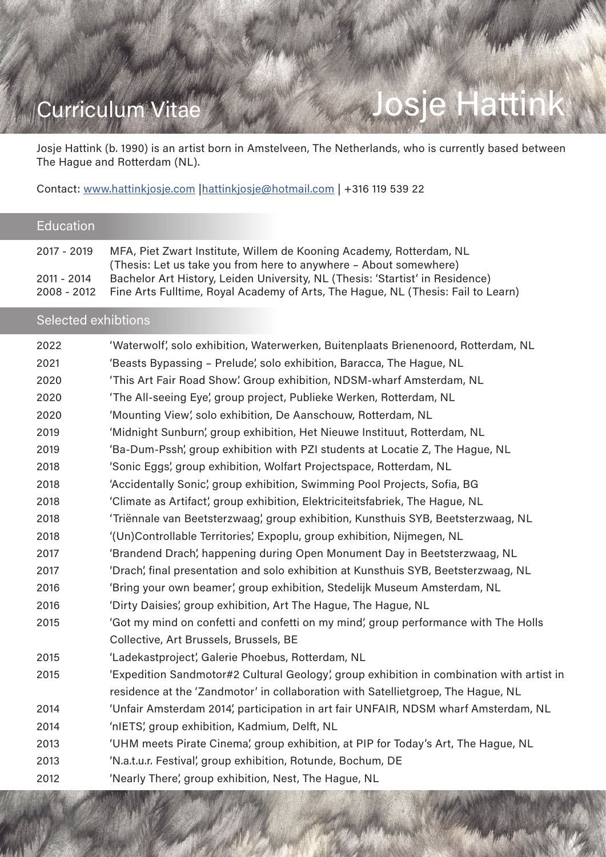# Curriculum Vitae And Manuel Aussie Hattink

Josje Hattink (b. 1990) is an artist born in Amstelveen, The Netherlands, who is currently based between The Hague and Rotterdam (NL).

Contact: www.hattinkjosje.com |hattinkjosje@hotmail.com | +316 119 539 22

## **Education**

| 2017 - 2019 | MFA, Piet Zwart Institute, Willem de Kooning Academy, Rotterdam, NL<br>(Thesis: Let us take you from here to anywhere - About somewhere) |
|-------------|------------------------------------------------------------------------------------------------------------------------------------------|
| 2011 - 2014 | Bachelor Art History, Leiden University, NL (Thesis: 'Startist' in Residence)                                                            |
| 2008 - 2012 | Fine Arts Fulltime, Royal Academy of Arts, The Hague, NL (Thesis: Fail to Learn)                                                         |

### Selected exhibtions

| 2022 | 'Waterwolf', solo exhibition, Waterwerken, Buitenplaats Brienenoord, Rotterdam, NL        |
|------|-------------------------------------------------------------------------------------------|
| 2021 | 'Beasts Bypassing - Prelude', solo exhibition, Baracca, The Hague, NL                     |
| 2020 | 'This Art Fair Road Show'. Group exhibition, NDSM-wharf Amsterdam, NL                     |
| 2020 | 'The All-seeing Eye', group project, Publieke Werken, Rotterdam, NL                       |
| 2020 | 'Mounting View', solo exhibition, De Aanschouw, Rotterdam, NL                             |
| 2019 | 'Midnight Sunburn', group exhibition, Het Nieuwe Instituut, Rotterdam, NL                 |
| 2019 | 'Ba-Dum-Pssh', group exhibition with PZI students at Locatie Z, The Hague, NL             |
| 2018 | 'Sonic Eggs', group exhibition, Wolfart Projectspace, Rotterdam, NL                       |
| 2018 | 'Accidentally Sonic', group exhibition, Swimming Pool Projects, Sofia, BG                 |
| 2018 | 'Climate as Artifact', group exhibition, Elektriciteitsfabriek, The Hague, NL             |
| 2018 | 'Triënnale van Beetsterzwaag', group exhibition, Kunsthuis SYB, Beetsterzwaag, NL         |
| 2018 | '(Un)Controllable Territories', Expoplu, group exhibition, Nijmegen, NL                   |
| 2017 | 'Brandend Drach', happening during Open Monument Day in Beetsterzwaag, NL                 |
| 2017 | 'Drach', final presentation and solo exhibition at Kunsthuis SYB, Beetsterzwaag, NL       |
| 2016 | 'Bring your own beamer', group exhibition, Stedelijk Museum Amsterdam, NL                 |
| 2016 | 'Dirty Daisies', group exhibition, Art The Hague, The Hague, NL                           |
| 2015 | 'Got my mind on confetti and confetti on my mind', group performance with The Holls       |
|      | Collective, Art Brussels, Brussels, BE                                                    |
| 2015 | 'Ladekastproject', Galerie Phoebus, Rotterdam, NL                                         |
| 2015 | 'Expedition Sandmotor#2 Cultural Geology', group exhibition in combination with artist in |
|      | residence at the 'Zandmotor' in collaboration with Satellietgroep, The Hague, NL          |
| 2014 | 'Unfair Amsterdam 2014', participation in art fair UNFAIR, NDSM wharf Amsterdam, NL       |
| 2014 | 'nIETS', group exhibition, Kadmium, Delft, NL                                             |
| 2013 | 'UHM meets Pirate Cinema', group exhibition, at PIP for Today's Art, The Hague, NL        |
| 2013 | 'N.a.t.u.r. Festival', group exhibition, Rotunde, Bochum, DE                              |
| 2012 | 'Nearly There', group exhibition, Nest, The Hague, NL                                     |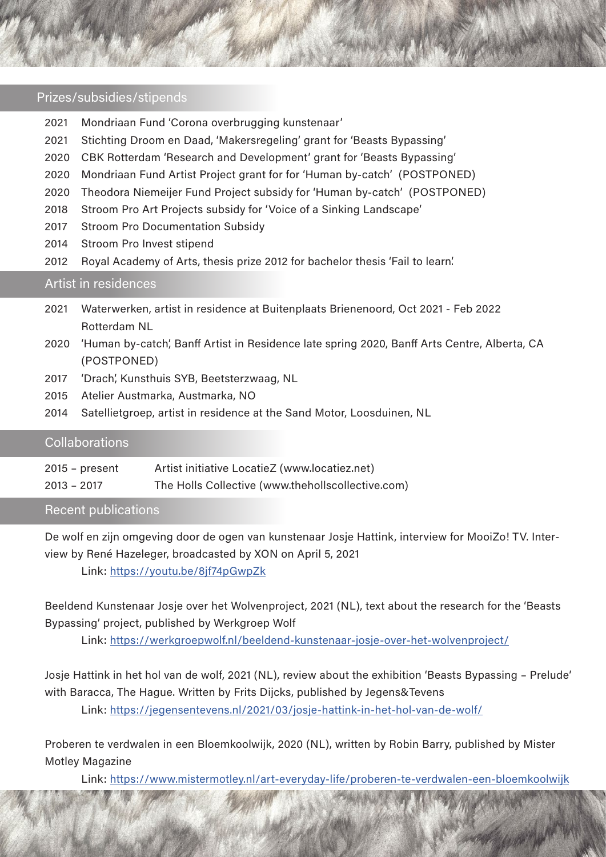#### Prizes/subsidies/stipends

- 2021 Mondriaan Fund 'Corona overbrugging kunstenaar'
- 2021 Stichting Droom en Daad, 'Makersregeling' grant for 'Beasts Bypassing'
- 2020 CBK Rotterdam 'Research and Development' grant for 'Beasts Bypassing'
- 2020 Mondriaan Fund Artist Project grant for for 'Human by-catch' (POSTPONED)
- 2020 Theodora Niemeijer Fund Project subsidy for 'Human by-catch' (POSTPONED)
- 2018 Stroom Pro Art Projects subsidy for ' Voice of a Sinking Landscape'
- 2017 Stroom Pro Documentation Subsidy
- 2014 Stroom Pro Invest stipend
- 2012 Royal Academy of Arts, thesis prize 2012 for bachelor thesis 'Fail to learn'.

#### Artist in residences

- 2021 Waterwerken, artist in residence at Buitenplaats Brienenoord, Oct 2021 Feb 2022 Rotterdam NL
- 2020 'Human by-catch', Banff Artist in Residence late spring 2020, Banff Arts Centre, Alberta, CA (POSTPONED)
- 2017 'Drach', Kunsthuis SYB, Beetsterzwaag, NL
- 2015 Atelier Austmarka, Austmarka, NO
- 2014 Satellietgroep, artist in residence at the Sand Motor, Loosduinen, NL

#### Collaborations

| $2015$ – present | Artist initiative LocatieZ (www.locatiez.net)     |
|------------------|---------------------------------------------------|
| $2013 - 2017$    | The Holls Collective (www.thehollscollective.com) |

#### Recent publications

De wolf en zijn omgeving door de ogen van kunstenaar Josje Hattink, interview for MooiZo! TV. Interview by René Hazeleger, broadcasted by XON on April 5, 2021

Link: https://youtu.be/8jf74pGwpZk

Beeldend Kunstenaar Josje over het Wolvenproject, 2021 (NL), text about the research for the 'Beasts Bypassing' project, published by Werkgroep Wolf

Link: https://werkgroepwolf.nl/beeldend-kunstenaar-josje-over-het-wolvenproject/

Josje Hattink in het hol van de wolf, 2021 (NL), review about the exhibition 'Beasts Bypassing – Prelude' with Baracca, The Hague. Written by Frits Dijcks, published by Jegens&Tevens

Link: https://jegensentevens.nl/2021/03/josje-hattink-in-het-hol-van-de-wolf/

Proberen te verdwalen in een Bloemkoolwijk, 2020 (NL), written by Robin Barry, published by Mister Motley Magazine

Link: https://www.mistermotley.nl/art-everyday-life/proberen-te-verdwalen-een-bloemkoolwijk